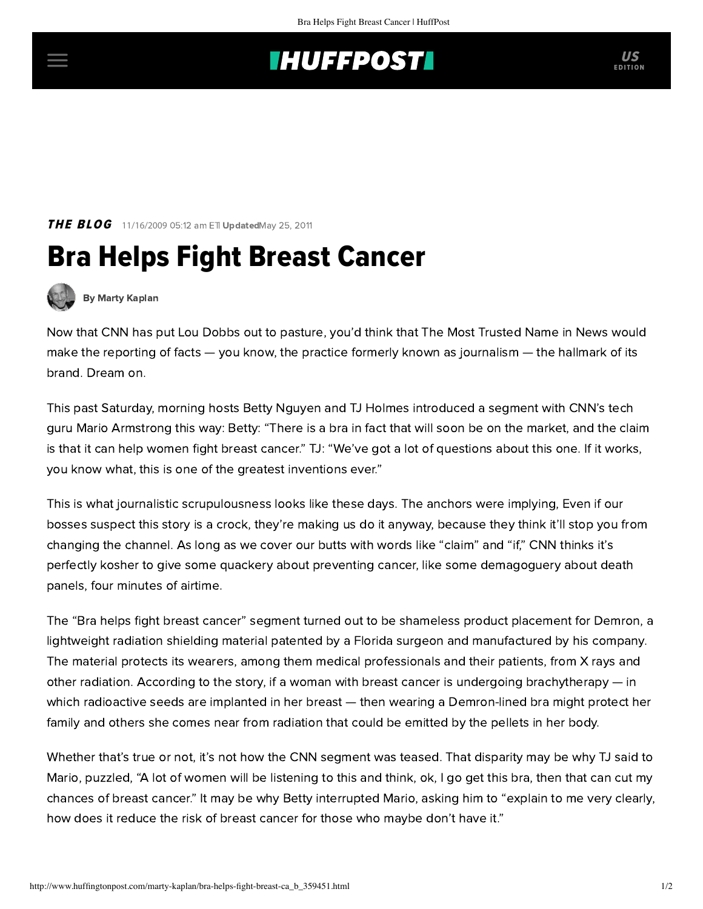## **INUFFPOSTI** US

**THE BLOG** 11/16/2009 05:12 am ETI UpdatedMay 25, 2011

## Bra Helps Fight Breast Cancer



[By Marty Kaplan](http://www.huffingtonpost.com/author/marty-kaplan)

Now that CNN has put Lou Dobbs out to pasture, you'd think that The Most Trusted Name in News would make the reporting of facts — you know, the practice formerly known as journalism — the hallmark of its brand. Dream on.

This past Saturday, morning hosts Betty Nguyen and TJ Holmes introduced a [segment](http://newsroom.blogs.cnn.com/2009/11/15/cancer-fighting-underwear/) with CNN's tech guru Mario Armstrong this way: Betty: "There is a bra in fact that will soon be on the market, and the claim is that it can help women fight breast cancer." TJ: "We've got a lot of questions about this one. If it works, you know what, this is one of the greatest inventions ever."

This is what journalistic scrupulousness looks like these days. The anchors were implying, Even if our bosses suspect this story is a crock, they're making us do it anyway, because they think it'll stop you from changing the channel. As long as we cover our butts with words like "claim" and "if," CNN thinks it's perfectly kosher to give some quackery about preventing cancer, like some demagoguery about death panels, four minutes of airtime.

The "Bra helps fight breast cancer" segment turned out to be shameless product placement for [Demron](http://www.radshield.com/), a lightweight radiation shielding material patented by a Florida surgeon and manufactured by his company. The material protects its wearers, among them medical professionals and their patients, from X rays and other radiation. According to the story, if a woman with breast cancer is undergoing brachytherapy — in which radioactive seeds are implanted in her breast — then wearing a Demron-lined bra might protect her family and others she comes near from radiation that could be emitted by the pellets in her body.

Whether that's true or not, it's not how the CNN segment was teased. That disparity may be why TJ said to Mario, puzzled, "A lot of women will be listening to this and think, ok, I go get this bra, then that can cut my chances of breast cancer." It may be why Betty interrupted Mario, asking him to "explain to me very clearly, how does it reduce the risk of breast cancer for those who maybe don't have it."